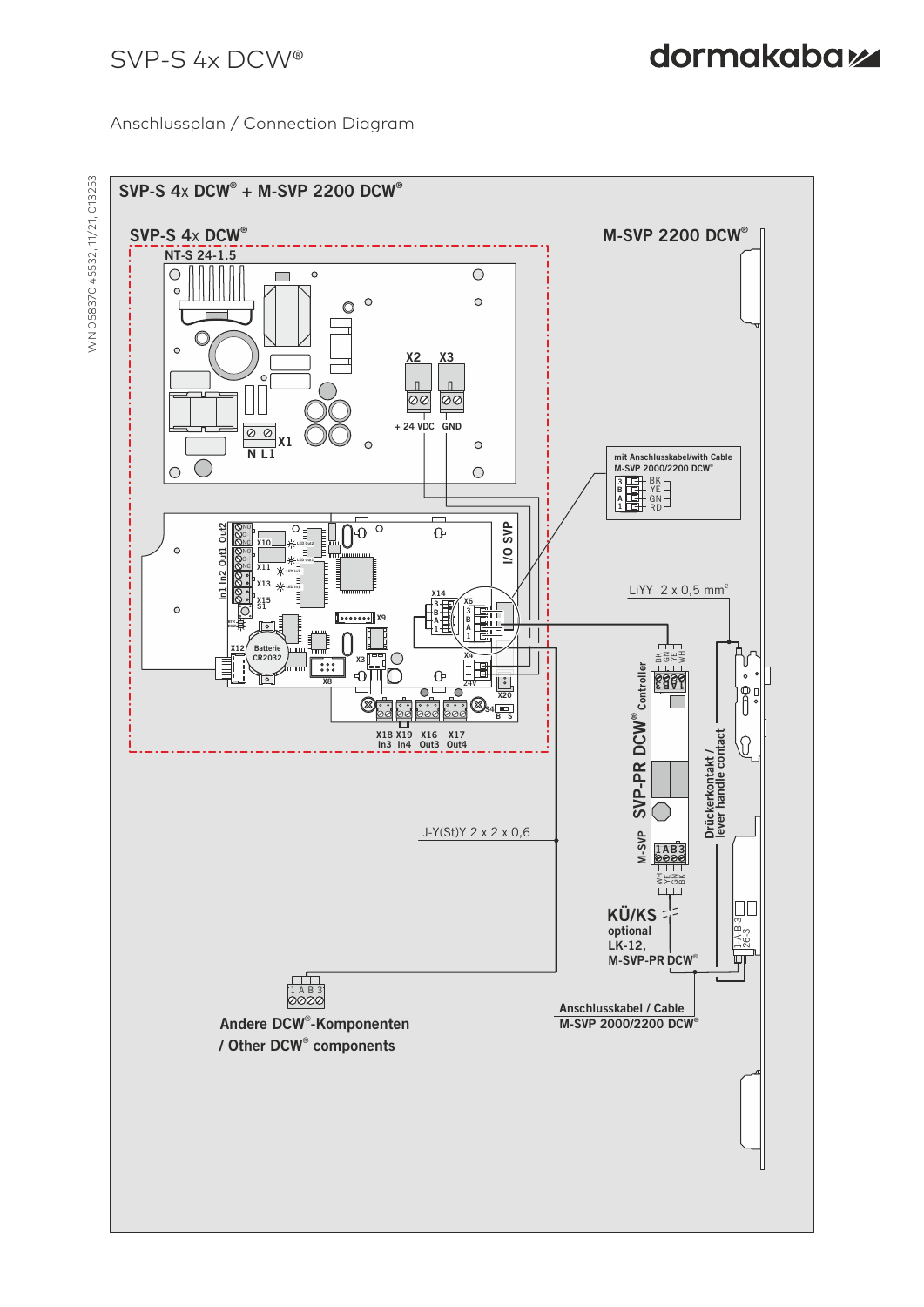#### Anschlussplan / Connection Diagram



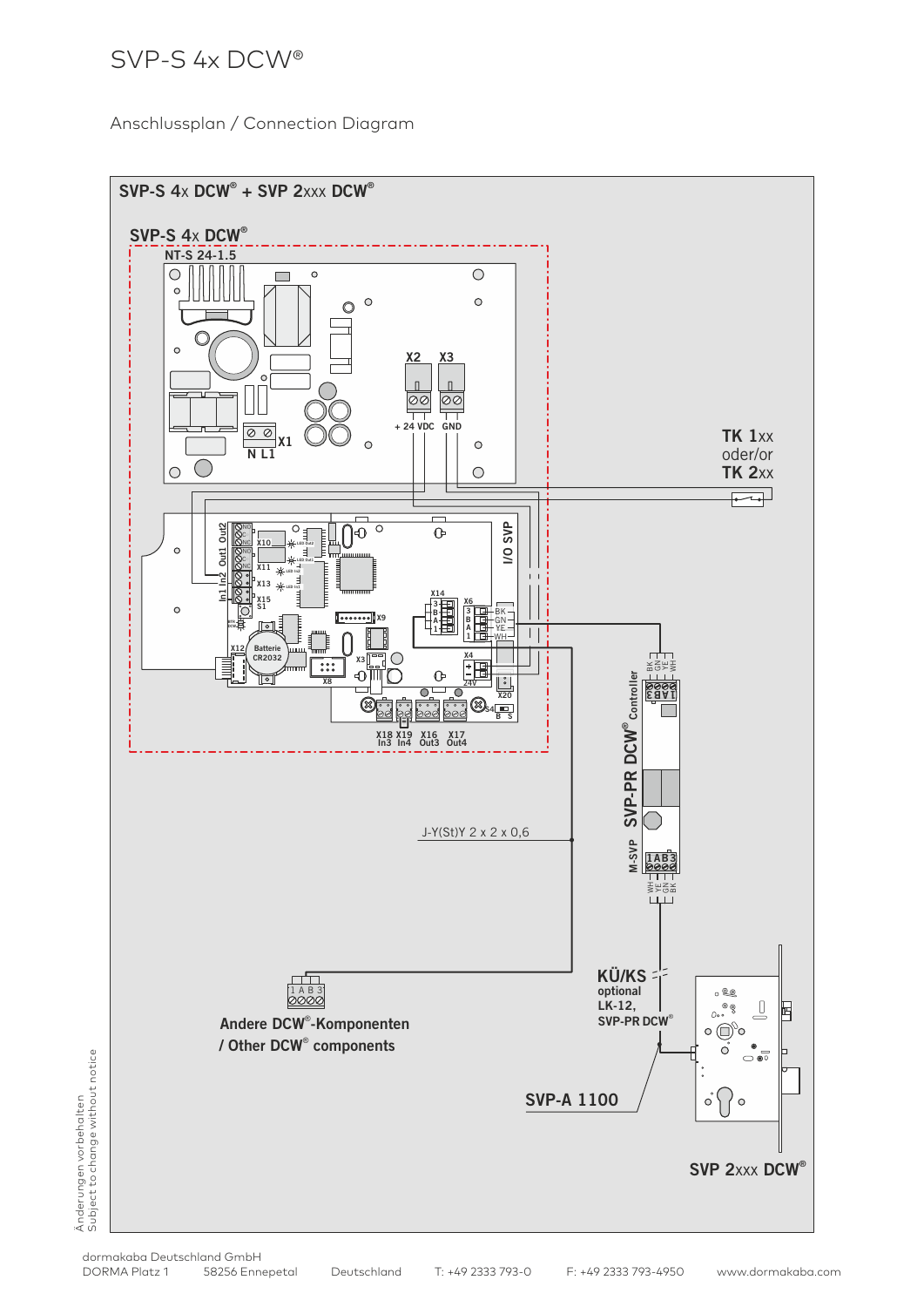Anschlussplan / Connection Diagram



Änderungen vorbehalten<br>Subject to change without notice Subject to change without notice Änderungen vorbehalten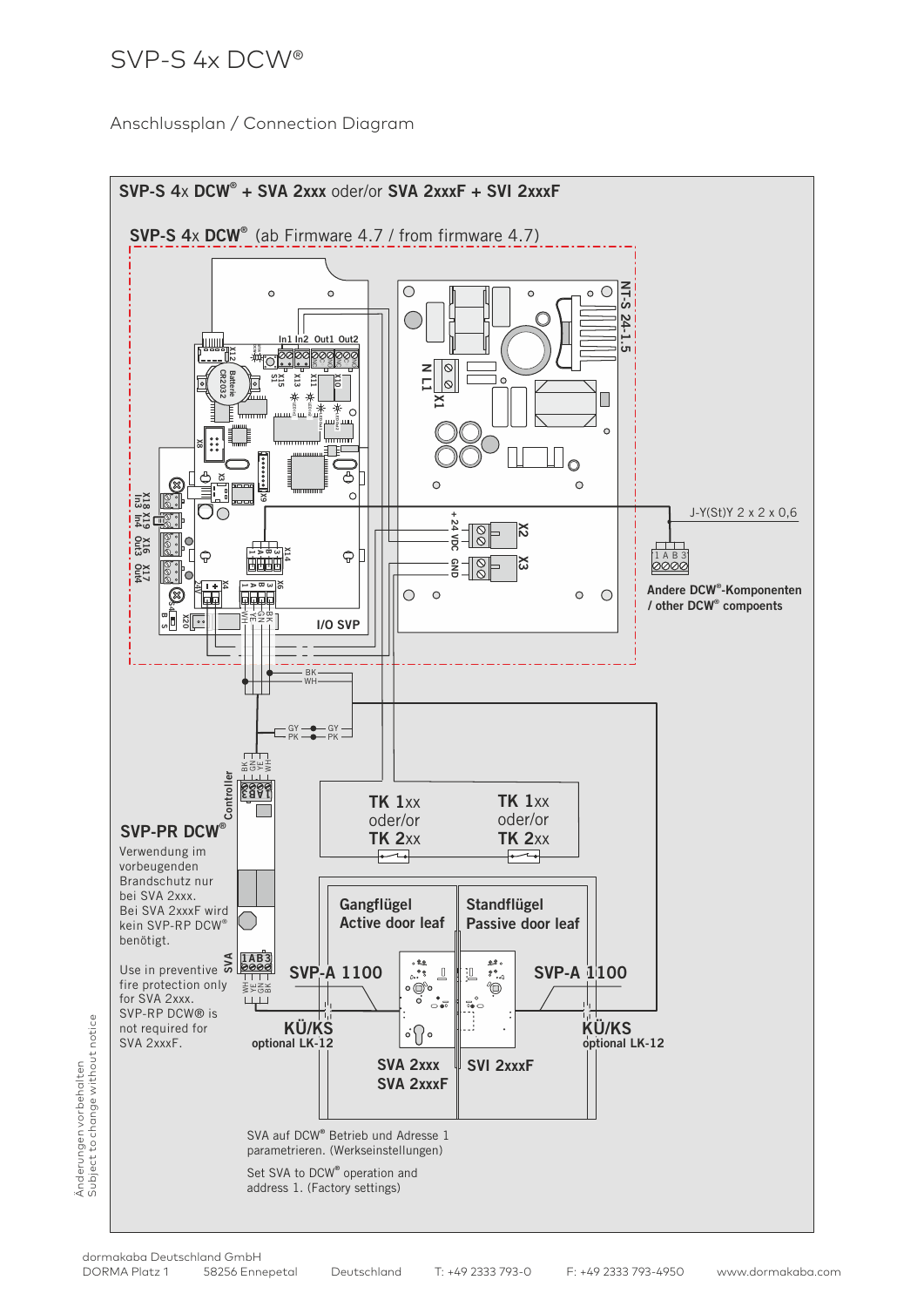Anschlussplan / Connection Diagram